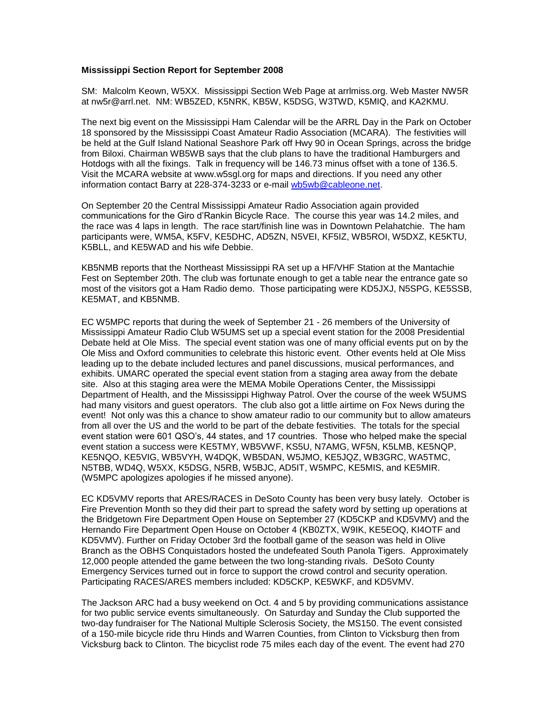## **Mississippi Section Report for September 2008**

SM: Malcolm Keown, W5XX. Mississippi Section Web Page at arrlmiss.org. Web Master NW5R at nw5r@arrl.net. NM: WB5ZED, K5NRK, KB5W, K5DSG, W3TWD, K5MIQ, and KA2KMU.

The next big event on the Mississippi Ham Calendar will be the ARRL Day in the Park on October 18 sponsored by the Mississippi Coast Amateur Radio Association (MCARA). The festivities will be held at the Gulf Island National Seashore Park off Hwy 90 in Ocean Springs, across the bridge from Biloxi. Chairman WB5WB says that the club plans to have the traditional Hamburgers and Hotdogs with all the fixings. Talk in frequency will be 146.73 minus offset with a tone of 136.5. Visit the MCARA website at www.w5sgl.org for maps and directions. If you need any other information contact Barry at 228-374-3233 or e-mail [wb5wb@cableone.net.](mailto:wb5wb%40cableone.net)

On September 20 the Central Mississippi Amateur Radio Association again provided communications for the Giro d'Rankin Bicycle Race. The course this year was 14.2 miles, and the race was 4 laps in length. The race start/finish line was in Downtown Pelahatchie. The ham participants were, WM5A, K5FV, KE5DHC, AD5ZN, N5VEI, KF5IZ, WB5ROI, W5DXZ, KE5KTU, K5BLL, and KE5WAD and his wife Debbie.

KB5NMB reports that the Northeast Mississippi RA set up a HF/VHF Station at the Mantachie Fest on September 20th. The club was fortunate enough to get a table near the entrance gate so most of the visitors got a Ham Radio demo. Those participating were KD5JXJ, N5SPG, KE5SSB, KE5MAT, and KB5NMB.

EC W5MPC reports that during the week of September 21 - 26 members of the University of Mississippi Amateur Radio Club W5UMS set up a special event station for the 2008 Presidential Debate held at Ole Miss. The special event station was one of many official events put on by the Ole Miss and Oxford communities to celebrate this historic event. Other events held at Ole Miss leading up to the debate included lectures and panel discussions, musical performances, and exhibits. UMARC operated the special event station from a staging area away from the debate site. Also at this staging area were the MEMA Mobile Operations Center, the Mississippi Department of Health, and the Mississippi Highway Patrol. Over the course of the week W5UMS had many visitors and guest operators. The club also got a little airtime on Fox News during the event! Not only was this a chance to show amateur radio to our community but to allow amateurs from all over the US and the world to be part of the debate festivities. The totals for the special event station were 601 QSO's, 44 states, and 17 countries. Those who helped make the special event station a success were KE5TMY, WB5VWF, KS5U, N7AMG, WF5N, K5LMB, KE5NQP, KE5NQO, KE5VIG, WB5VYH, W4DQK, WB5DAN, W5JMO, KE5JQZ, WB3GRC, WA5TMC, N5TBB, WD4Q, W5XX, K5DSG, N5RB, W5BJC, AD5IT, W5MPC, KE5MIS, and KE5MIR. (W5MPC apologizes apologies if he missed anyone).

EC KD5VMV reports that ARES/RACES in DeSoto County has been very busy lately. October is Fire Prevention Month so they did their part to spread the safety word by setting up operations at the Bridgetown Fire Department Open House on September 27 (KD5CKP and KD5VMV) and the Hernando Fire Department Open House on October 4 (KB0ZTX, W9IK, KE5EOQ, KI4OTF and KD5VMV). Further on Friday October 3rd the football game of the season was held in Olive Branch as the OBHS Conquistadors hosted the undefeated South Panola Tigers. Approximately 12,000 people attended the game between the two long-standing rivals. DeSoto County Emergency Services turned out in force to support the crowd control and security operation. Participating RACES/ARES members included: KD5CKP, KE5WKF, and KD5VMV.

The Jackson ARC had a busy weekend on Oct. 4 and 5 by providing communications assistance for two public service events simultaneously. On Saturday and Sunday the Club supported the two-day fundraiser for The National Multiple Sclerosis Society, the MS150. The event consisted of a 150-mile bicycle ride thru Hinds and Warren Counties, from Clinton to Vicksburg then from Vicksburg back to Clinton. The bicyclist rode 75 miles each day of the event. The event had 270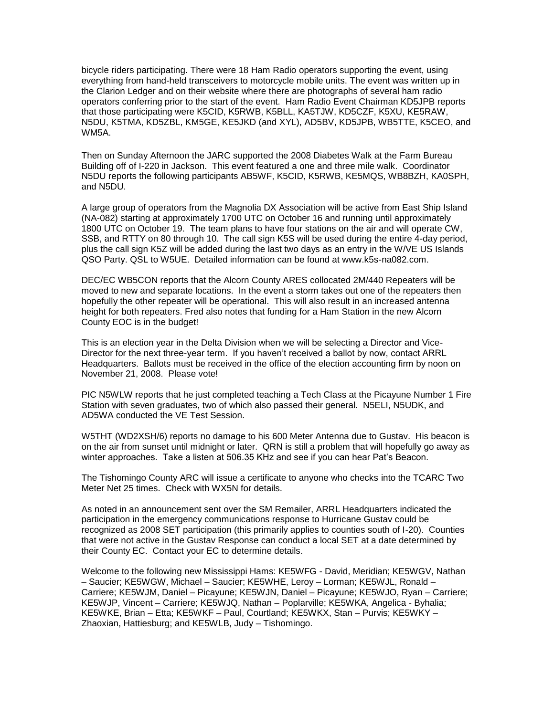bicycle riders participating. There were 18 Ham Radio operators supporting the event, using everything from hand-held transceivers to motorcycle mobile units. The event was written up in the Clarion Ledger and on their website where there are photographs of several ham radio operators conferring prior to the start of the event. Ham Radio Event Chairman KD5JPB reports that those participating were K5CID, K5RWB, K5BLL, KA5TJW, KD5CZF, K5XU, KE5RAW, N5DU, K5TMA, KD5ZBL, KM5GE, KE5JKD (and XYL), AD5BV, KD5JPB, WB5TTE, K5CEO, and WM5A.

Then on Sunday Afternoon the JARC supported the 2008 Diabetes Walk at the Farm Bureau Building off of I-220 in Jackson. This event featured a one and three mile walk. Coordinator N5DU reports the following participants AB5WF, K5CID, K5RWB, KE5MQS, WB8BZH, KA0SPH, and N5DU.

A large group of operators from the Magnolia DX Association will be active from East Ship Island (NA-082) starting at approximately 1700 UTC on October 16 and running until approximately 1800 UTC on October 19. The team plans to have four stations on the air and will operate CW, SSB, and RTTY on 80 through 10. The call sign K5S will be used during the entire 4-day period, plus the call sign K5Z will be added during the last two days as an entry in the W/VE US Islands QSO Party. QSL to W5UE. Detailed information can be found at www.k5s-na082.com.

DEC/EC WB5CON reports that the Alcorn County ARES collocated 2M/440 Repeaters will be moved to new and separate locations. In the event a storm takes out one of the repeaters then hopefully the other repeater will be operational. This will also result in an increased antenna height for both repeaters. Fred also notes that funding for a Ham Station in the new Alcorn County EOC is in the budget!

This is an election year in the Delta Division when we will be selecting a Director and Vice-Director for the next three-year term. If you haven't received a ballot by now, contact ARRL Headquarters. Ballots must be received in the office of the election accounting firm by noon on November 21, 2008. Please vote!

PIC N5WLW reports that he just completed teaching a Tech Class at the Picayune Number 1 Fire Station with seven graduates, two of which also passed their general. N5ELI, N5UDK, and AD5WA conducted the VE Test Session.

W5THT (WD2XSH/6) reports no damage to his 600 Meter Antenna due to Gustav. His beacon is on the air from sunset until midnight or later. QRN is still a problem that will hopefully go away as winter approaches. Take a listen at 506.35 KHz and see if you can hear Pat's Beacon.

The Tishomingo County ARC will issue a certificate to anyone who checks into the TCARC Two Meter Net 25 times. Check with WX5N for details.

As noted in an announcement sent over the SM Remailer, ARRL Headquarters indicated the participation in the emergency communications response to Hurricane Gustav could be recognized as 2008 SET participation (this primarily applies to counties south of I-20). Counties that were not active in the Gustav Response can conduct a local SET at a date determined by their County EC. Contact your EC to determine details.

Welcome to the following new Mississippi Hams: KE5WFG - David, Meridian; KE5WGV, Nathan – Saucier; KE5WGW, Michael – Saucier; KE5WHE, Leroy – Lorman; KE5WJL, Ronald – Carriere; KE5WJM, Daniel – Picayune; KE5WJN, Daniel – Picayune; KE5WJO, Ryan – Carriere; KE5WJP, Vincent – Carriere; KE5WJQ, Nathan – Poplarville; KE5WKA, Angelica - Byhalia; KE5WKE, Brian – Etta; KE5WKF – Paul, Courtland; KE5WKX, Stan – Purvis; KE5WKY – Zhaoxian, Hattiesburg; and KE5WLB, Judy – Tishomingo.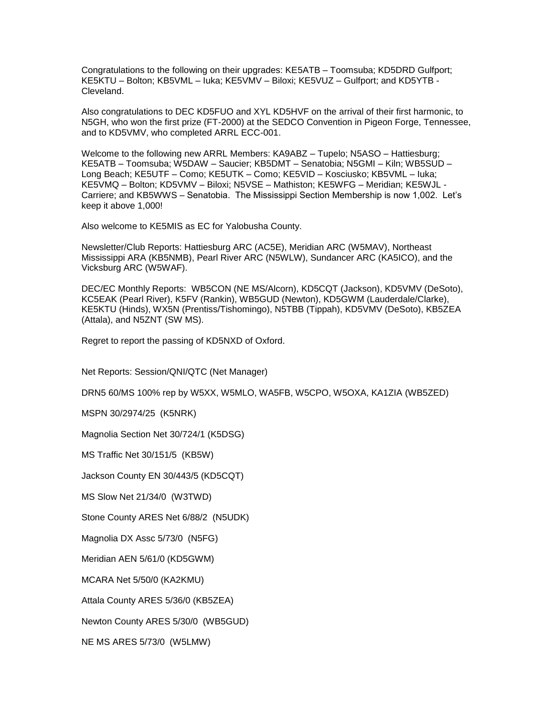Congratulations to the following on their upgrades: KE5ATB – Toomsuba; KD5DRD Gulfport; KE5KTU – Bolton; KB5VML – Iuka; KE5VMV – Biloxi; KE5VUZ – Gulfport; and KD5YTB - Cleveland.

Also congratulations to DEC KD5FUO and XYL KD5HVF on the arrival of their first harmonic, to N5GH, who won the first prize (FT-2000) at the SEDCO Convention in Pigeon Forge, Tennessee, and to KD5VMV, who completed ARRL ECC-001.

Welcome to the following new ARRL Members: KA9ABZ – Tupelo; N5ASO – Hattiesburg; KE5ATB – Toomsuba; W5DAW – Saucier; KB5DMT – Senatobia; N5GMI – Kiln; WB5SUD – Long Beach; KE5UTF – Como; KE5UTK – Como; KE5VID – Kosciusko; KB5VML – Iuka; KE5VMQ – Bolton; KD5VMV – Biloxi; N5VSE – Mathiston; KE5WFG – Meridian; KE5WJL - Carriere; and KB5WWS – Senatobia. The Mississippi Section Membership is now 1,002. Let's keep it above 1,000!

Also welcome to KE5MIS as EC for Yalobusha County.

Newsletter/Club Reports: Hattiesburg ARC (AC5E), Meridian ARC (W5MAV), Northeast Mississippi ARA (KB5NMB), Pearl River ARC (N5WLW), Sundancer ARC (KA5ICO), and the Vicksburg ARC (W5WAF).

DEC/EC Monthly Reports: WB5CON (NE MS/Alcorn), KD5CQT (Jackson), KD5VMV (DeSoto), KC5EAK (Pearl River), K5FV (Rankin), WB5GUD (Newton), KD5GWM (Lauderdale/Clarke), KE5KTU (Hinds), WX5N (Prentiss/Tishomingo), N5TBB (Tippah), KD5VMV (DeSoto), KB5ZEA (Attala), and N5ZNT (SW MS).

Regret to report the passing of KD5NXD of Oxford.

Net Reports: Session/QNI/QTC (Net Manager)

DRN5 60/MS 100% rep by W5XX, W5MLO, WA5FB, W5CPO, W5OXA, KA1ZIA (WB5ZED)

MSPN 30/2974/25 (K5NRK)

Magnolia Section Net 30/724/1 (K5DSG)

MS Traffic Net 30/151/5 (KB5W)

Jackson County EN 30/443/5 (KD5CQT)

MS Slow Net 21/34/0 (W3TWD)

Stone County ARES Net 6/88/2 (N5UDK)

Magnolia DX Assc 5/73/0 (N5FG)

Meridian AEN 5/61/0 (KD5GWM)

MCARA Net 5/50/0 (KA2KMU)

Attala County ARES 5/36/0 (KB5ZEA)

Newton County ARES 5/30/0 (WB5GUD)

NE MS ARES 5/73/0 (W5LMW)